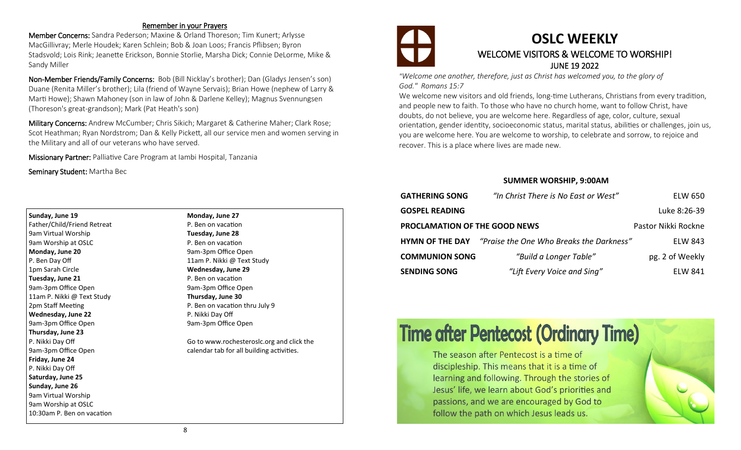#### Remember in your Prayers

Member Concerns: Sandra Pederson; Maxine & Orland Thoreson; Tim Kunert; Arlysse MacGillivray; Merle Houdek; Karen Schlein; Bob & Joan Loos; Francis Pflibsen; Byron Stadsvold; Lois Rink; Jeanette Erickson, Bonnie Storlie, Marsha Dick; Connie DeLorme, Mike & Sandy Miller

Non-Member Friends/Family Concerns: Bob (Bill Nicklay's brother); Dan (Gladys Jensen's son) Duane (Renita Miller's brother); Lila (friend of Wayne Servais); Brian Howe (nephew of Larry & Marti Howe); Shawn Mahoney (son in law of John & Darlene Kelley); Magnus Svennungsen (Thoreson's great-grandson); Mark (Pat Heath's son)

Military Concerns: Andrew McCumber; Chris Sikich; Margaret & Catherine Maher; Clark Rose; Scot Heathman; Ryan Nordstrom; Dan & Kelly Pickett, all our service men and women serving in the Military and all of our veterans who have served.

Missionary Partner: Palliative Care Program at Iambi Hospital, Tanzania

Seminary Student: Martha Bec

| Sunday, June 19             |  |  |
|-----------------------------|--|--|
| Father/Child/Friend Retreat |  |  |
| 9am Virtual Worship         |  |  |
| 9am Worship at OSLC         |  |  |
| Monday, June 20             |  |  |
| P. Ben Day Off              |  |  |
| 1pm Sarah Circle            |  |  |
| Tuesday, June 21            |  |  |
| 9am-3pm Office Open         |  |  |
| 11am P. Nikki @ Text Study  |  |  |
| 2pm Staff Meeting           |  |  |
| <b>Wednesday, June 22</b>   |  |  |
| 9am-3pm Office Open         |  |  |
| Thursday, June 23           |  |  |
| P. Nikki Day Off            |  |  |
| 9am-3pm Office Open         |  |  |
| Friday, June 24             |  |  |
| P. Nikki Day Off            |  |  |
| Saturday, June 25           |  |  |
| Sunday, June 26             |  |  |
| 9am Virtual Worship         |  |  |
| 9am Worship at OSLC         |  |  |
| 10:30am P. Ben on vacation  |  |  |

**Monday, June 27** P. Ben on vacation **Tuesday, June 28** P. Ben on vacation 9am-3pm Office Open 11am P. Nikki @ Text Study **Wednesday, June 29** P. Ben on vacation 9am-3pm Office Open **Thursday, June 30** P. Ben on vacation thru July 9 P. Nikki Day Off 9am-3pm Office Open

Go to www.rochesteroslc.org and click the calendar tab for all building activities.



### **OSLC WEEKLY**  WELCOME VISITORS & WELCOME TO WORSHIP! JUNE 19 2022

*"Welcome one another, therefore, just as Christ has welcomed you, to the glory of God." Romans 15:7*

We welcome new visitors and old friends, long-time Lutherans, Christians from every tradition, and people new to faith. To those who have no church home, want to follow Christ, have doubts, do not believe, you are welcome here. Regardless of age, color, culture, sexual orientation, gender identity, socioeconomic status, marital status, abilities or challenges, join us, you are welcome here. You are welcome to worship, to celebrate and sorrow, to rejoice and recover. This is a place where lives are made new.

#### **SUMMER WORSHIP, 9:00AM**

| <b>GATHERING SONG</b>                | "In Christ There is No East or West"                            | <b>ELW 650</b>      |
|--------------------------------------|-----------------------------------------------------------------|---------------------|
| <b>GOSPEL READING</b>                |                                                                 | Luke 8:26-39        |
| <b>PROCLAMATION OF THE GOOD NEWS</b> |                                                                 | Pastor Nikki Rockne |
|                                      | <b>HYMN OF THE DAY</b> "Praise the One Who Breaks the Darkness" | <b>ELW 843</b>      |
| <b>COMMUNION SONG</b>                | "Build a Longer Table"                                          | pg. 2 of Weekly     |
| <b>SENDING SONG</b>                  | "Lift Every Voice and Sing"                                     | <b>ELW 841</b>      |

# **Time after Pentecost (Ordinary Time)**

The season after Pentecost is a time of discipleship. This means that it is a time of learning and following. Through the stories of Jesus' life, we learn about God's priorities and passions, and we are encouraged by God to follow the path on which Jesus leads us.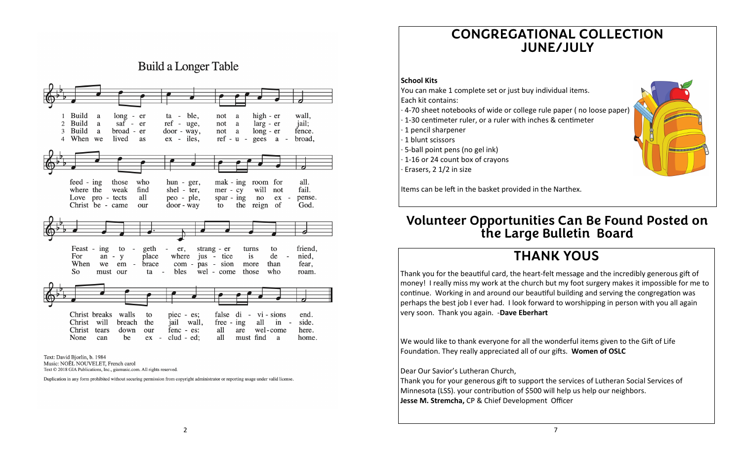## **CONGREGATIONAL COLLECTION JUNE/JULY**

#### **School Kits**

You can make 1 complete set or just buy individual items. Each kit contains:

- · 4-70 sheet notebooks of wide or college rule paper ( no loose paper)
- · 1-30 centimeter ruler, or a ruler with inches & centimeter
- · 1 pencil sharpener
- · 1 blunt scissors
- · 5-ball point pens (no gel ink)
- · 1-16 or 24 count box of crayons

Items can be left in the basket provided in the Narthex.

### **Volunteer Opportunities Can Be Found Posted on the Large Bulletin Board**

### **THANK YOUS**

Thank you for the beautiful card, the heart-felt message and the incredibly generous gift of money! I really miss my work at the church but my foot surgery makes it impossible for me to continue. Working in and around our beautiful building and serving the congregation was perhaps the best job I ever had. I look forward to worshipping in person with you all again very soon. Thank you again. -**Dave Eberhart**

We would like to thank everyone for all the wonderful items given to the Gift of Life Foundation. They really appreciated all of our gifts. **Women of OSLC**

#### Dear Our Savior's Lutheran Church,

Thank you for your generous gift to support the services of Lutheran Social Services of Minnesota (LSS). your contribution of \$500 will help us help our neighbors. **Jesse M. Stremcha,** CP & Chief Development Officer



**Build a Longer Table** 

Text: David Bjorlin, b. 1984 Music: NOËL NOUVELET, French carol Text © 2018 GIA Publications, Inc., giamusic.com. All rights reserved.

Duplication in any form prohibited without securing permission from copyright administrator or reporting usage under valid license.

Erasers, 2 1/2 in size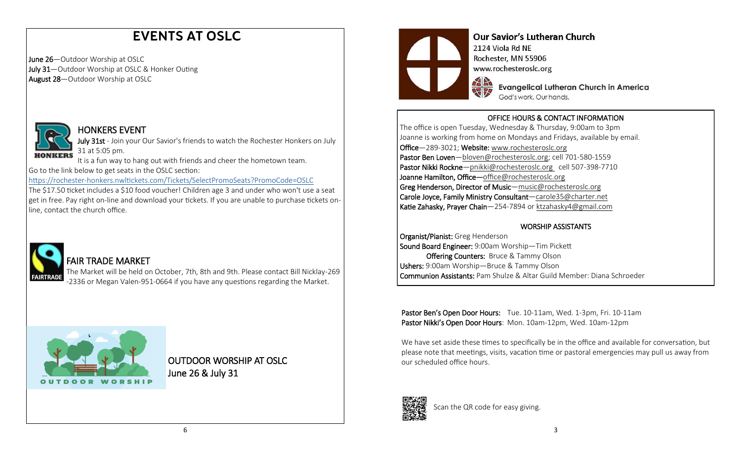# **EVENTS AT OSLC**

June 26—Outdoor Worship at OSLC July 31-Outdoor Worship at OSLC & Honker Outing August 28—Outdoor Worship at OSLC



#### HONKERS EVENT

July 31st - Join your Our Savior's friends to watch the Rochester Honkers on July 31 at 5:05 pm.

It is a fun way to hang out with friends and cheer the hometown team. Go to the link below to get seats in the OSLC section:

https://rochester-[honkers.nwltickets.com/Tickets/SelectPromoSeats?PromoCode=OSLC](https://rochester-honkers.nwltickets.com/Tickets/SelectPromoSeats?PromoCode=OSLC)

The \$17.50 ticket includes a \$10 food voucher! Children age 3 and under who won't use a seat get in free. Pay right on-line and download your tickets. If you are unable to purchase tickets online, contact the church office.



#### FAIR TRADE MARKET

The Market will be held on October, 7th, 8th and 9th. Please contact Bill Nicklay-269 -2336 or Megan Valen-951-0664 if you have any questions regarding the Market.



OUTDOOR WORSHIP AT OSLC June 26 & July 31



### **Our Savior's Lutheran Church**

2124 Viola Rd NE Rochester, MN 55906 www.rochesteroslc.org

> **Evangelical Lutheran Church in America** God's work. Our hands.

#### OFFICE HOURS & CONTACT INFORMATION

The office is open Tuesday, Wednesday & Thursday, 9:00am to 3pm Joanne is working from home on Mondays and Fridays, available by email. Office—289-3021; Website: www.rochesteroslc.org Pastor Ben Loven-bloven@rochesteroslc.org; cell 701-580-1559 Pastor Nikki Rockne-pnikki@rochesteroslc.org cell 507-398-7710 Joanne Hamilton, Office-office@rochesteroslc.org Greg Henderson, Director of Music—music@rochesteroslc.org Carole Joyce, Family Ministry Consultant—carole35@charter.net Katie Zahasky, Prayer Chain—254-7894 or ktzahasky4@gmail.com

#### WORSHIP ASSISTANTS

Organist/Pianist: Greg Henderson Sound Board Engineer: 9:00am Worship—Tim Pickett **Offering Counters: Bruce & Tammy Olson** Ushers: 9:00am Worship—Bruce & Tammy Olson Communion Assistants: Pam Shulze & Altar Guild Member: Diana Schroeder

Pastor Ben's Open Door Hours: Tue. 10-11am, Wed. 1-3pm, Fri. 10-11am Pastor Nikki's Open Door Hours: Mon. 10am-12pm, Wed. 10am-12pm

We have set aside these times to specifically be in the office and available for conversation, but please note that meetings, visits, vacation time or pastoral emergencies may pull us away from our scheduled office hours.



Scan the QR code for easy giving.